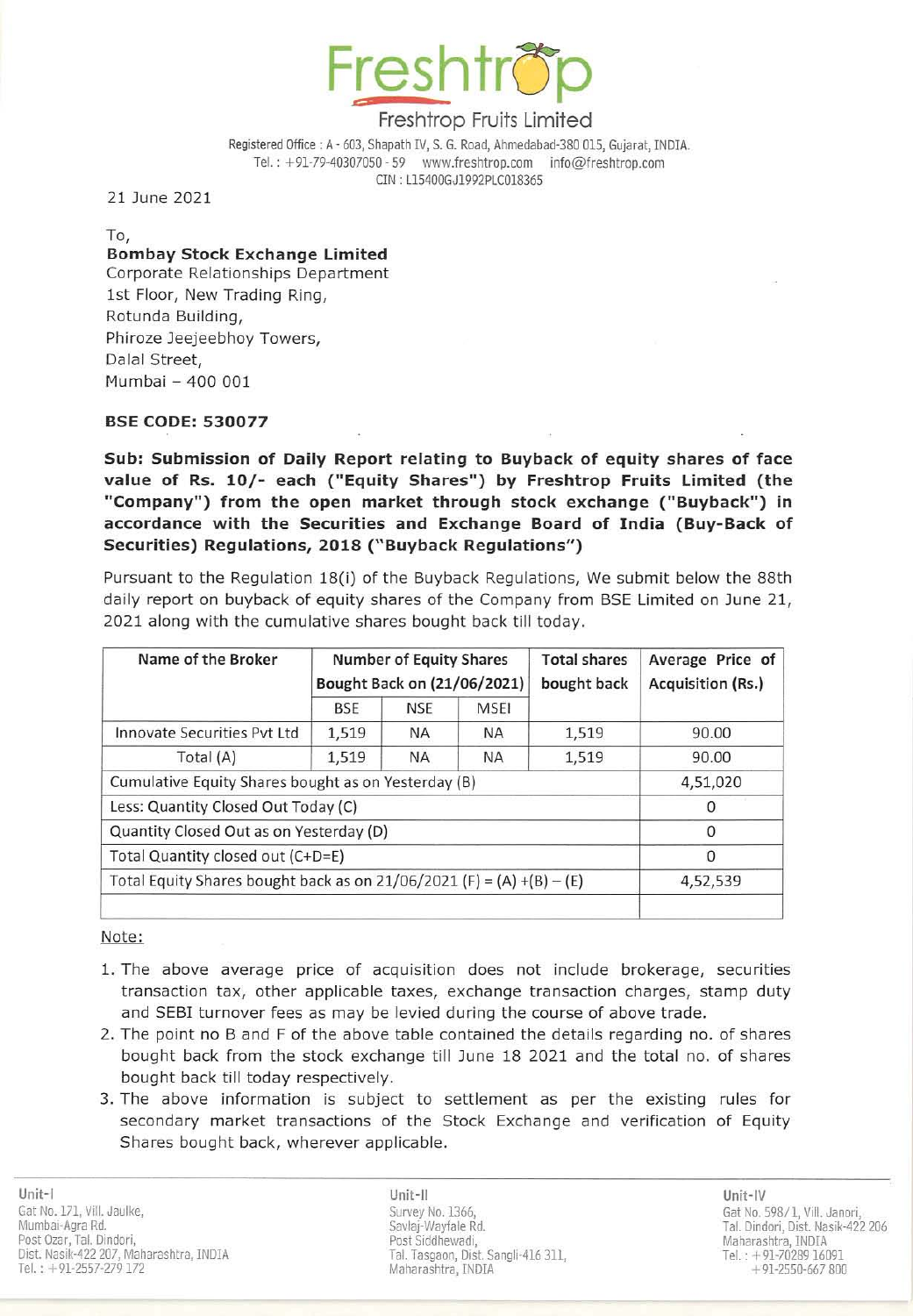

## Freshtrop Fruits Limited

Registered Office: A - 603, Shapath IV, S. G. Road, Ahmedabad-380 015, Gujarat, INDIA. Tel.: +91-79-40307050 - 59 www.freshtrop.com info@freshtrop.com eIN : Ll5400GJ1992PLC018365

21 June 2021

To, **Bombay Stock Exchange Limited** Corporate Relationships Department 1st Floor, New Trading Ring, Rotunda Building, Phiroze Jeejeebhoy Towers, Dalal Street, Mumbai ~ 400 001

## BSE CODE: 530077

Sub: Submission of Daily Report relating to Buyback of equity shares of face value of Rs. 10/- each ("Equity Shares") by Freshtrop Fruits Limited (the "Company") from the open market through stock exchange ("Buyback") in accordance with the Securities and Exchange Board of India (Buy-Back of Securities) Regulations, 2018 (" Buyback Regulations")

Pursuant to the Regulation 18(i) of the Buyback Regulations, We submit below the 88th daily report on buyback of equity shares of the Company from SSE Limited on June 21, 2021 along with the cumulative shares bought back till today.

| Name of the Broker                                                    | <b>Number of Equity Shares</b><br>Bought Back on (21/06/2021) |            |             | <b>Total shares</b><br>bought back | Average Price of<br>Acquisition (Rs.) |
|-----------------------------------------------------------------------|---------------------------------------------------------------|------------|-------------|------------------------------------|---------------------------------------|
|                                                                       | <b>BSE</b>                                                    | <b>NSE</b> | <b>MSEI</b> |                                    |                                       |
| Innovate Securities Pvt Ltd                                           | 1,519                                                         | <b>NA</b>  | <b>NA</b>   | 1,519                              | 90.00                                 |
| Total (A)                                                             | 1,519                                                         | <b>NA</b>  | <b>NA</b>   | 1,519                              | 90.00                                 |
| Cumulative Equity Shares bought as on Yesterday (B)                   |                                                               |            |             |                                    | 4,51,020                              |
| Less: Quantity Closed Out Today (C)                                   |                                                               |            |             |                                    | $\Omega$                              |
| Quantity Closed Out as on Yesterday (D)                               |                                                               |            |             |                                    | $\Omega$                              |
| Total Quantity closed out (C+D=E)                                     |                                                               |            |             |                                    | $\Omega$                              |
| Total Equity Shares bought back as on 21/06/2021 (F) = (A) +(B) - (E) |                                                               |            |             |                                    | 4,52,539                              |
|                                                                       |                                                               |            |             |                                    |                                       |

Note:

- 1. The above average price of acquisition does not include brokerage, securities transaction tax, other applicable taxes, exchange transaction charges, stamp duty and SEBI turnover fees as may be levied during the course of above trade.
- 2. The point no B and F of the above table contained the details regarding no. of shares bought back from the stock exchange till June 18 2021 and the total no. of shares bought back till today respectively.
- 3. The above information is subject to settlement as per the existing rules for secondary market transactions of the Stock Exchange and verification of Equity Shares bought back, wherever applicable.

Unit-II Unit-IV Survey No. 1366, Savlaj-Wayfale Rd. Post Siddhewadi, Tal. Tasgaon, Dist. Sangli-416 311, Maharashtra, INDIA